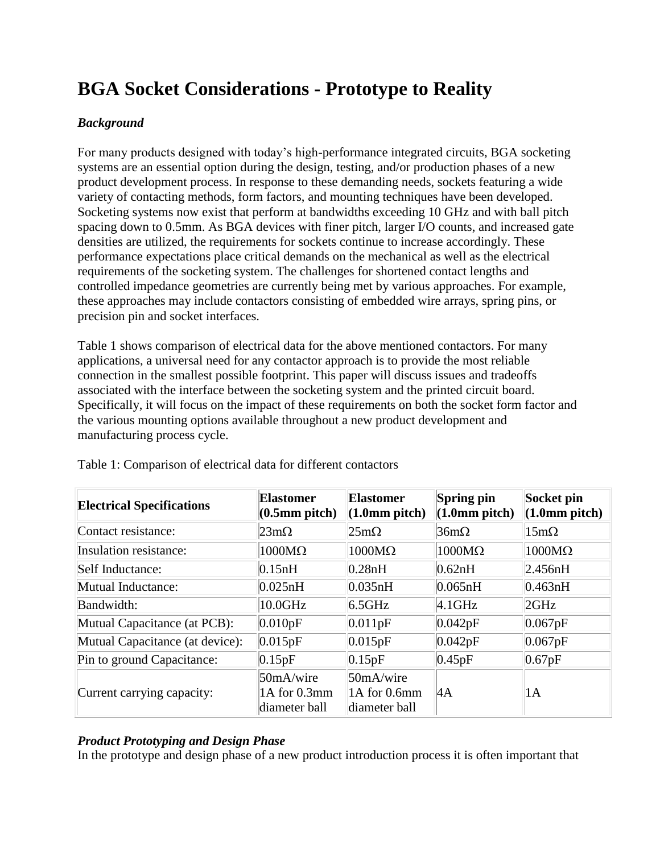# **BGA Socket Considerations - Prototype to Reality**

# *Background*

For many products designed with today's high-performance integrated circuits, BGA socketing systems are an essential option during the design, testing, and/or production phases of a new product development process. In response to these demanding needs, sockets featuring a wide variety of contacting methods, form factors, and mounting techniques have been developed. Socketing systems now exist that perform at bandwidths exceeding 10 GHz and with ball pitch spacing down to 0.5mm. As BGA devices with finer pitch, larger I/O counts, and increased gate densities are utilized, the requirements for sockets continue to increase accordingly. These performance expectations place critical demands on the mechanical as well as the electrical requirements of the socketing system. The challenges for shortened contact lengths and controlled impedance geometries are currently being met by various approaches. For example, these approaches may include contactors consisting of embedded wire arrays, spring pins, or precision pin and socket interfaces.

Table 1 shows comparison of electrical data for the above mentioned contactors. For many applications, a universal need for any contactor approach is to provide the most reliable connection in the smallest possible footprint. This paper will discuss issues and tradeoffs associated with the interface between the socketing system and the printed circuit board. Specifically, it will focus on the impact of these requirements on both the socket form factor and the various mounting options available throughout a new product development and manufacturing process cycle.

| <b>Electrical Specifications</b> | <b>Elastomer</b><br>$(0.5 \text{mm pitch})$ | <b>Elastomer</b><br>(1.0 <sub>mm</sub> pitch) | Spring pin<br>(1.0 <sub>mm</sub> pitch) | Socket pin<br>(1.0 <sub>mm</sub> pitch) |
|----------------------------------|---------------------------------------------|-----------------------------------------------|-----------------------------------------|-----------------------------------------|
| Contact resistance:              | $23 \text{m}\Omega$                         | $25m\Omega$                                   | $36m\Omega$                             | $15m\Omega$                             |
| Insulation resistance:           | $1000M\Omega$                               | $1000M\Omega$                                 | $1000M\Omega$                           | $1000M\Omega$                           |
| Self Inductance:                 | 0.15nH                                      | 0.28nH                                        | 0.62nH                                  | 2.456nH                                 |
| Mutual Inductance:               | 0.025nH                                     | 0.035nH                                       | 0.065nH                                 | 0.463nH                                 |
| Bandwidth:                       | $10.0$ GHz                                  | $6.5$ GHz                                     | $4.1$ GHz                               | 2GHz                                    |
| Mutual Capacitance (at PCB):     | 0.010pF                                     | 0.011pF                                       | 0.042pF                                 | 0.067pF                                 |
| Mutual Capacitance (at device):  | 0.015pF                                     | 0.015pF                                       | 0.042pF                                 | 0.067pF                                 |
| Pin to ground Capacitance:       | 0.15pF                                      | 0.15pF                                        | 0.45pF                                  | 0.67pF                                  |
| Current carrying capacity:       | 50mA/wire<br>1A for 0.3mm<br>diameter ball  | 50mA/wire<br>1A for 0.6mm<br>diameter ball    | $\mathsf{4A}$                           | 1 A                                     |

Table 1: Comparison of electrical data for different contactors

### *Product Prototyping and Design Phase*

In the prototype and design phase of a new product introduction process it is often important that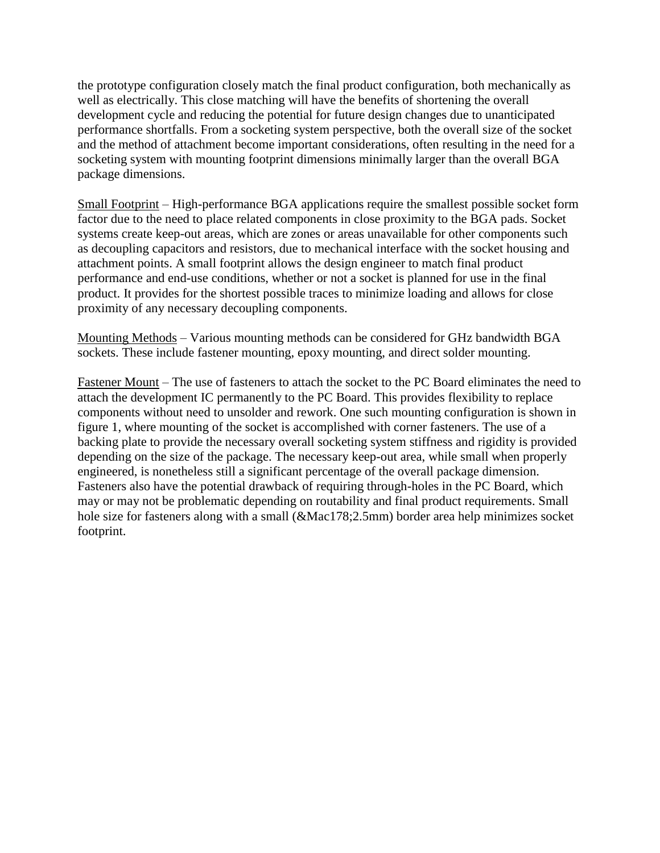the prototype configuration closely match the final product configuration, both mechanically as well as electrically. This close matching will have the benefits of shortening the overall development cycle and reducing the potential for future design changes due to unanticipated performance shortfalls. From a socketing system perspective, both the overall size of the socket and the method of attachment become important considerations, often resulting in the need for a socketing system with mounting footprint dimensions minimally larger than the overall BGA package dimensions.

Small Footprint – High-performance BGA applications require the smallest possible socket form factor due to the need to place related components in close proximity to the BGA pads. Socket systems create keep-out areas, which are zones or areas unavailable for other components such as decoupling capacitors and resistors, due to mechanical interface with the socket housing and attachment points. A small footprint allows the design engineer to match final product performance and end-use conditions, whether or not a socket is planned for use in the final product. It provides for the shortest possible traces to minimize loading and allows for close proximity of any necessary decoupling components.

Mounting Methods – Various mounting methods can be considered for GHz bandwidth BGA sockets. These include fastener mounting, epoxy mounting, and direct solder mounting.

Fastener Mount – The use of fasteners to attach the socket to the PC Board eliminates the need to attach the development IC permanently to the PC Board. This provides flexibility to replace components without need to unsolder and rework. One such mounting configuration is shown in figure 1, where mounting of the socket is accomplished with corner fasteners. The use of a backing plate to provide the necessary overall socketing system stiffness and rigidity is provided depending on the size of the package. The necessary keep-out area, while small when properly engineered, is nonetheless still a significant percentage of the overall package dimension. Fasteners also have the potential drawback of requiring through-holes in the PC Board, which may or may not be problematic depending on routability and final product requirements. Small hole size for fasteners along with a small ( $\&$ Mac178;2.5mm) border area help minimizes socket footprint.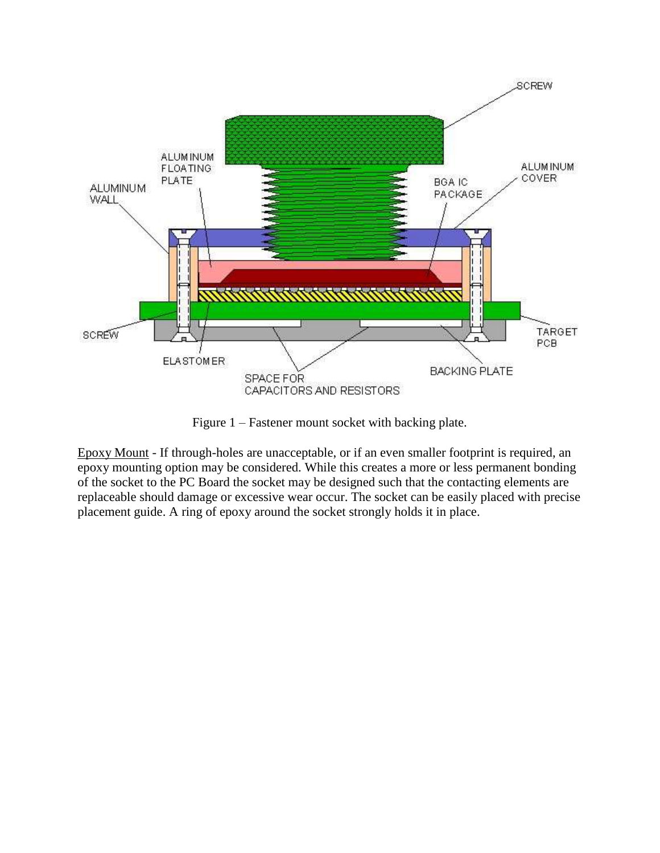

Figure 1 – Fastener mount socket with backing plate.

Epoxy Mount - If through-holes are unacceptable, or if an even smaller footprint is required, an epoxy mounting option may be considered. While this creates a more or less permanent bonding of the socket to the PC Board the socket may be designed such that the contacting elements are replaceable should damage or excessive wear occur. The socket can be easily placed with precise placement guide. A ring of epoxy around the socket strongly holds it in place.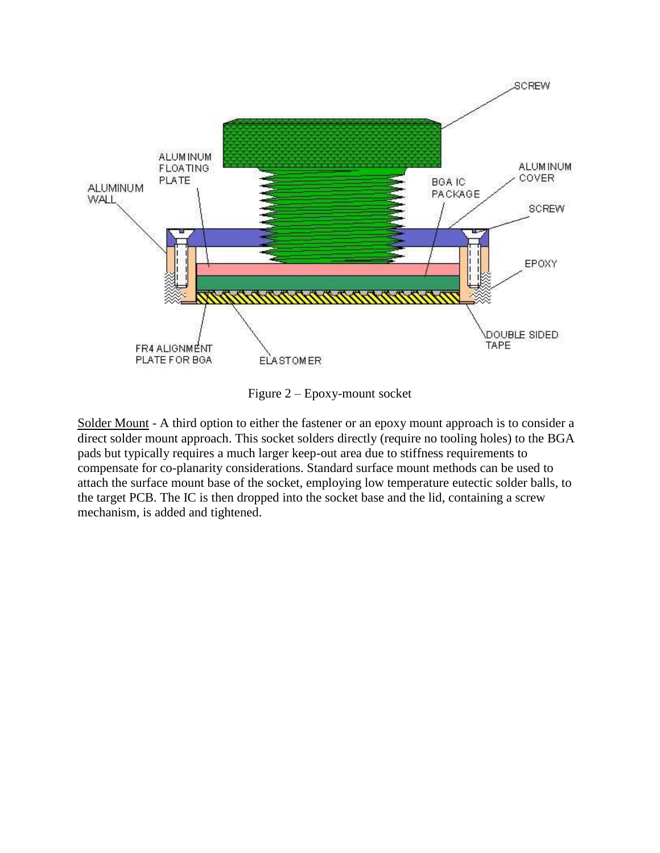

Figure 2 – Epoxy-mount socket

Solder Mount - A third option to either the fastener or an epoxy mount approach is to consider a direct solder mount approach. This socket solders directly (require no tooling holes) to the BGA pads but typically requires a much larger keep-out area due to stiffness requirements to compensate for co-planarity considerations. Standard surface mount methods can be used to attach the surface mount base of the socket, employing low temperature eutectic solder balls, to the target PCB. The IC is then dropped into the socket base and the lid, containing a screw mechanism, is added and tightened.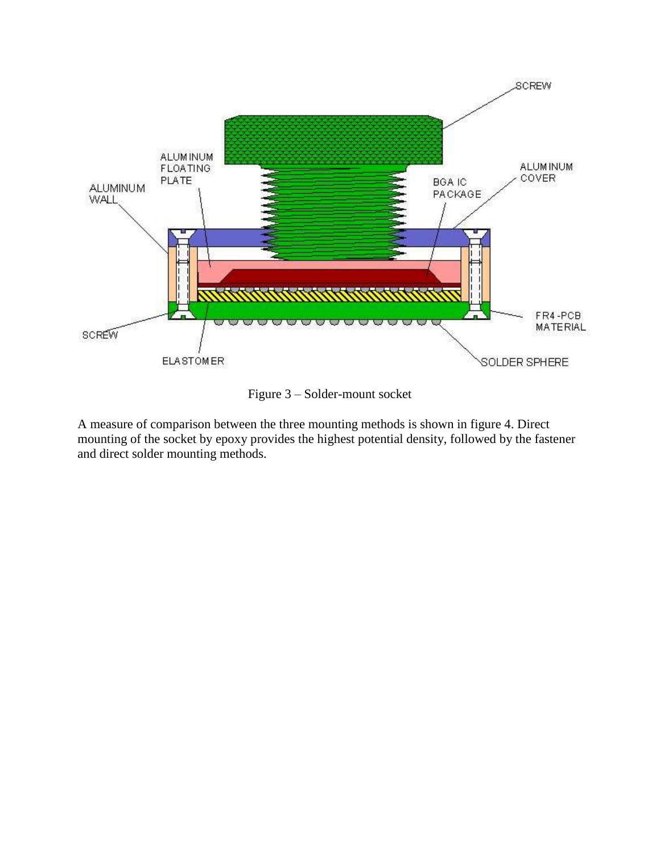

Figure 3 – Solder-mount socket

A measure of comparison between the three mounting methods is shown in figure 4. Direct mounting of the socket by epoxy provides the highest potential density, followed by the fastener and direct solder mounting methods.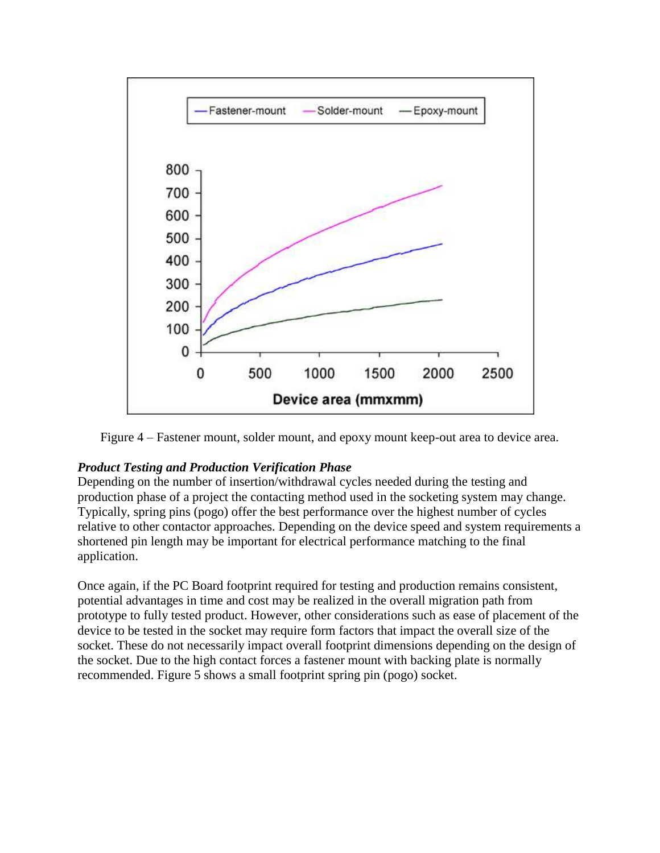

Figure 4 – Fastener mount, solder mount, and epoxy mount keep-out area to device area.

#### *Product Testing and Production Verification Phase*

Depending on the number of insertion/withdrawal cycles needed during the testing and production phase of a project the contacting method used in the socketing system may change. Typically, spring pins (pogo) offer the best performance over the highest number of cycles relative to other contactor approaches. Depending on the device speed and system requirements a shortened pin length may be important for electrical performance matching to the final application.

Once again, if the PC Board footprint required for testing and production remains consistent, potential advantages in time and cost may be realized in the overall migration path from prototype to fully tested product. However, other considerations such as ease of placement of the device to be tested in the socket may require form factors that impact the overall size of the socket. These do not necessarily impact overall footprint dimensions depending on the design of the socket. Due to the high contact forces a fastener mount with backing plate is normally recommended. Figure 5 shows a small footprint spring pin (pogo) socket.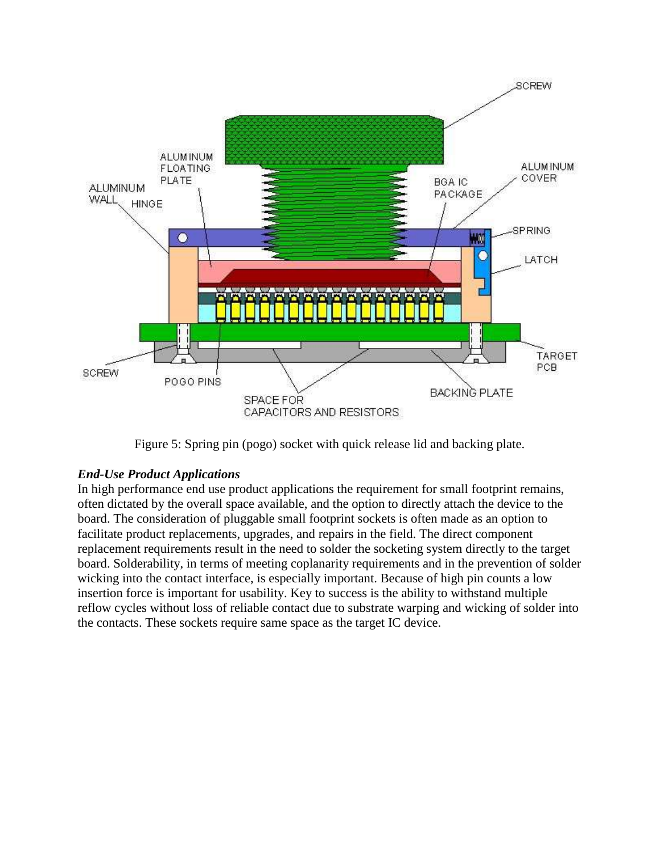

Figure 5: Spring pin (pogo) socket with quick release lid and backing plate.

### *End-Use Product Applications*

In high performance end use product applications the requirement for small footprint remains, often dictated by the overall space available, and the option to directly attach the device to the board. The consideration of pluggable small footprint sockets is often made as an option to facilitate product replacements, upgrades, and repairs in the field. The direct component replacement requirements result in the need to solder the socketing system directly to the target board. Solderability, in terms of meeting coplanarity requirements and in the prevention of solder wicking into the contact interface, is especially important. Because of high pin counts a low insertion force is important for usability. Key to success is the ability to withstand multiple reflow cycles without loss of reliable contact due to substrate warping and wicking of solder into the contacts. These sockets require same space as the target IC device.